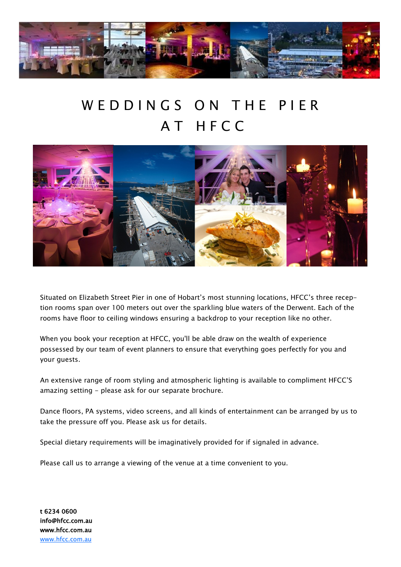

## WED D IN G S ON THE PIER A T H F C C



Situated on Elizabeth Street Pier in one of Hobart's most stunning locations, HFCC's three reception rooms span over 100 meters out over the sparkling blue waters of the Derwent. Each of the rooms have floor to ceiling windows ensuring a backdrop to your reception like no other.

When you book your reception at HFCC, you'll be able draw on the wealth of experience possessed by our team of event planners to ensure that everything goes perfectly for you and your guests.

An extensive range of room styling and atmospheric lighting is available to compliment HFCC'S amazing setting - please ask for our separate brochure.

Dance floors, PA systems, video screens, and all kinds of entertainment can be arranged by us to take the pressure off you. Please ask us for details.

Special dietary requirements will be imaginatively provided for if signaled in advance.

Please call us to arrange a viewing of the venue at a time convenient to you.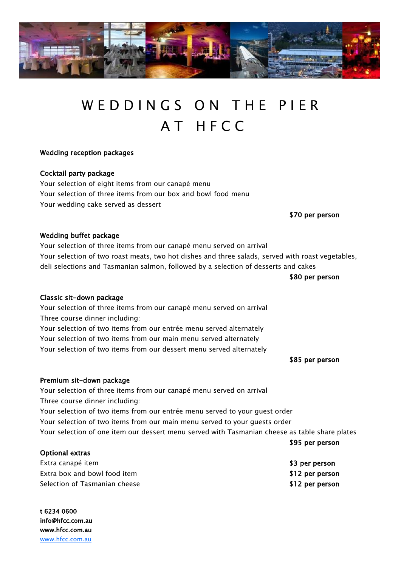

## WED D IN G S ON THE PIER A T H F C C

### Wedding reception packages

## Cocktail party package

Your selection of eight items from our canapé menu Your selection of three items from our box and bowl food menu Your wedding cake served as dessert

\$70 per person

### Wedding buffet package

Your selection of three items from our canapé menu served on arrival Your selection of two roast meats, two hot dishes and three salads, served with roast vegetables, deli selections and Tasmanian salmon, followed by a selection of desserts and cakes

\$80 per person

### Classic sit-down package

Your selection of three items from our canapé menu served on arrival Three course dinner including:

Your selection of two items from our entrée menu served alternately Your selection of two items from our main menu served alternately Your selection of two items from our dessert menu served alternately

#### \$85 per person

\$95 per person

### Premium sit-down package

Your selection of three items from our canapé menu served on arrival Three course dinner including:

Your selection of two items from our entrée menu served to your guest order Your selection of two items from our main menu served to your guests order Your selection of one item our dessert menu served with Tasmanian cheese as table share plates

| Optional extras               |                 |
|-------------------------------|-----------------|
| Extra canapé item             | \$3 per person  |
| Extra box and bowl food item  | \$12 per person |
| Selection of Tasmanian cheese | \$12 per person |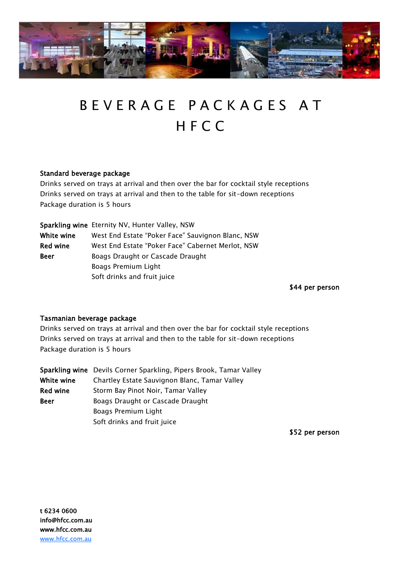

# B E V E R A G E P A C K A G E S A T H F C C

## Standard beverage package

Drinks served on trays at arrival and then over the bar for cocktail style receptions Drinks served on trays at arrival and then to the table for sit-down receptions Package duration is 5 hours

|                 | Sparkling wine Eternity NV, Hunter Valley, NSW    |
|-----------------|---------------------------------------------------|
| White wine      | West End Estate "Poker Face" Sauvignon Blanc, NSW |
| <b>Red wine</b> | West End Estate "Poker Face" Cabernet Merlot, NSW |
| <b>Beer</b>     | Boags Draught or Cascade Draught                  |
|                 | Boags Premium Light                               |
|                 | Soft drinks and fruit juice                       |

\$44 per person

### Tasmanian beverage package

Drinks served on trays at arrival and then over the bar for cocktail style receptions Drinks served on trays at arrival and then to the table for sit-down receptions Package duration is 5 hours

|            | Sparkling wine Devils Corner Sparkling, Pipers Brook, Tamar Valley |
|------------|--------------------------------------------------------------------|
| White wine | Chartley Estate Sauvignon Blanc, Tamar Valley                      |
| Red wine   | Storm Bay Pinot Noir, Tamar Valley                                 |
| Beer       | Boags Draught or Cascade Draught                                   |
|            | Boags Premium Light                                                |
|            | Soft drinks and fruit juice                                        |

\$52 per person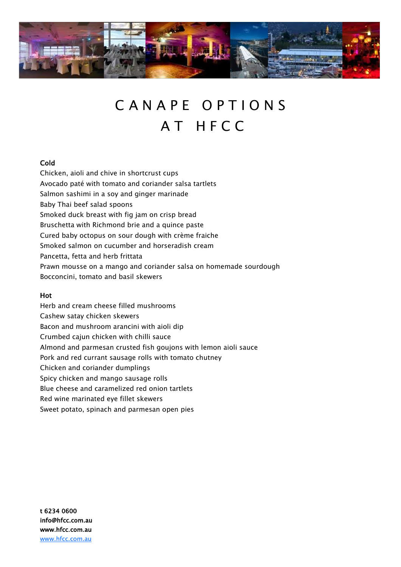

## CANAPE OPTIONS A T H F C C

## Cold

Chicken, aioli and chive in shortcrust cups Avocado paté with tomato and coriander salsa tartlets Salmon sashimi in a soy and ginger marinade Baby Thai beef salad spoons Smoked duck breast with fig jam on crisp bread Bruschetta with Richmond brie and a quince paste Cured baby octopus on sour dough with crème fraiche Smoked salmon on cucumber and horseradish cream Pancetta, fetta and herb frittata Prawn mousse on a mango and coriander salsa on homemade sourdough Bocconcini, tomato and basil skewers

### Hot

Herb and cream cheese filled mushrooms Cashew satay chicken skewers Bacon and mushroom arancini with aioli dip Crumbed cajun chicken with chilli sauce Almond and parmesan crusted fish goujons with lemon aioli sauce Pork and red currant sausage rolls with tomato chutney Chicken and coriander dumplings Spicy chicken and mango sausage rolls Blue cheese and caramelized red onion tartlets Red wine marinated eye fillet skewers Sweet potato, spinach and parmesan open pies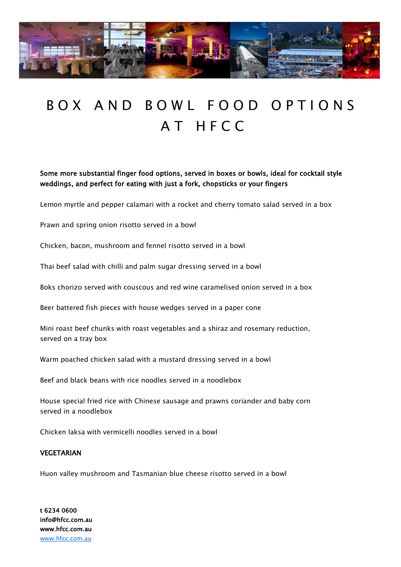

## B O X A N D B O W L F O O D O P T I O N S A T H F C C

Some more substantial finger food options, served in boxes or bowls, ideal for cocktail style weddings, and perfect for eating with just a fork, chopsticks or your fingers

Lemon myrtle and pepper calamari with a rocket and cherry tomato salad served in a box

Prawn and spring onion risotto served in a bowl

Chicken, bacon, mushroom and fennel risotto served in a bowl

Thai beef salad with chilli and palm sugar dressing served in a bowl

Boks chorizo served with couscous and red wine caramelised onion served in a box

Beer battered fish pieces with house wedges served in a paper cone

Mini roast beef chunks with roast vegetables and a shiraz and rosemary reduction, served on a tray box

Warm poached chicken salad with a mustard dressing served in a bowl

Beef and black beans with rice noodles served in a noodlebox

House special fried rice with Chinese sausage and prawns coriander and baby corn served in a noodlebox

Chicken laksa with vermicelli noodles served in a bowl

#### **VEGETARIAN**

Huon valley mushroom and Tasmanian blue cheese risotto served in a bowl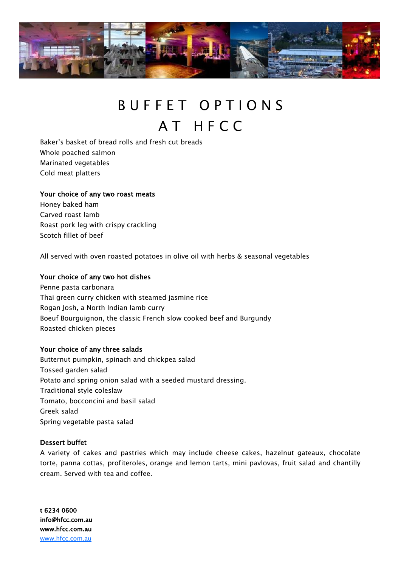

## BUFFET OPTIONS A T H F C C

Baker's basket of bread rolls and fresh cut breads Whole poached salmon Marinated vegetables Cold meat platters

#### Your choice of any two roast meats

Honey baked ham Carved roast lamb Roast pork leg with crispy crackling Scotch fillet of beef

All served with oven roasted potatoes in olive oil with herbs & seasonal vegetables

#### Your choice of any two hot dishes

Penne pasta carbonara Thai green curry chicken with steamed jasmine rice Rogan Josh, a North Indian lamb curry Boeuf Bourguignon, the classic French slow cooked beef and Burgundy Roasted chicken pieces

#### Your choice of any three salads

Butternut pumpkin, spinach and chickpea salad Tossed garden salad Potato and spring onion salad with a seeded mustard dressing. Traditional style coleslaw Tomato, bocconcini and basil salad Greek salad Spring vegetable pasta salad

#### Dessert buffet

A variety of cakes and pastries which may include cheese cakes, hazelnut gateaux, chocolate torte, panna cottas, profiteroles, orange and lemon tarts, mini pavlovas, fruit salad and chantilly cream. Served with tea and coffee.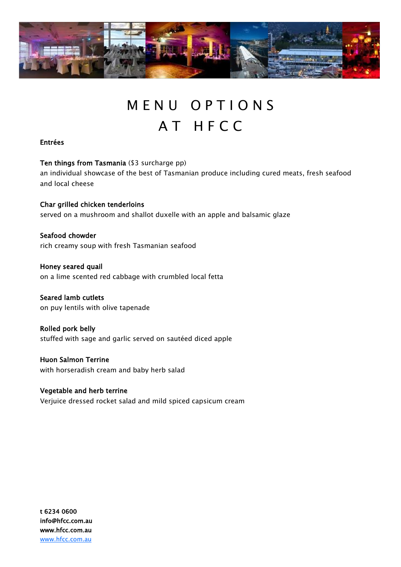

## M E N U O P T I O N S A T H F C C

## Entrées

Ten things from Tasmania (\$3 surcharge pp) an individual showcase of the best of Tasmanian produce including cured meats, fresh seafood and local cheese

Char grilled chicken tenderloins served on a mushroom and shallot duxelle with an apple and balsamic glaze

Seafood chowder rich creamy soup with fresh Tasmanian seafood

Honey seared quail on a lime scented red cabbage with crumbled local fetta

Seared lamb cutlets on puy lentils with olive tapenade

Rolled pork belly stuffed with sage and garlic served on sautéed diced apple

Huon Salmon Terrine with horseradish cream and baby herb salad

Vegetable and herb terrine Verjuice dressed rocket salad and mild spiced capsicum cream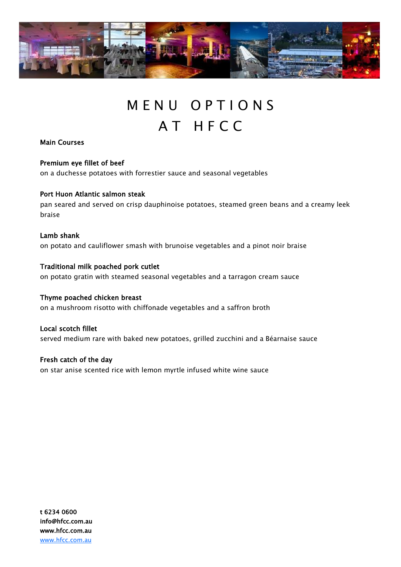

## M E N U O P T I O N S A T H F C C

Main Courses

Premium eye fillet of beef

on a duchesse potatoes with forrestier sauce and seasonal vegetables

## Port Huon Atlantic salmon steak

pan seared and served on crisp dauphinoise potatoes, steamed green beans and a creamy leek braise

## Lamb shank on potato and cauliflower smash with brunoise vegetables and a pinot noir braise

Traditional milk poached pork cutlet on potato gratin with steamed seasonal vegetables and a tarragon cream sauce

Thyme poached chicken breast on a mushroom risotto with chiffonade vegetables and a saffron broth

Local scotch fillet served medium rare with baked new potatoes, grilled zucchini and a Béarnaise sauce

Fresh catch of the day on star anise scented rice with lemon myrtle infused white wine sauce